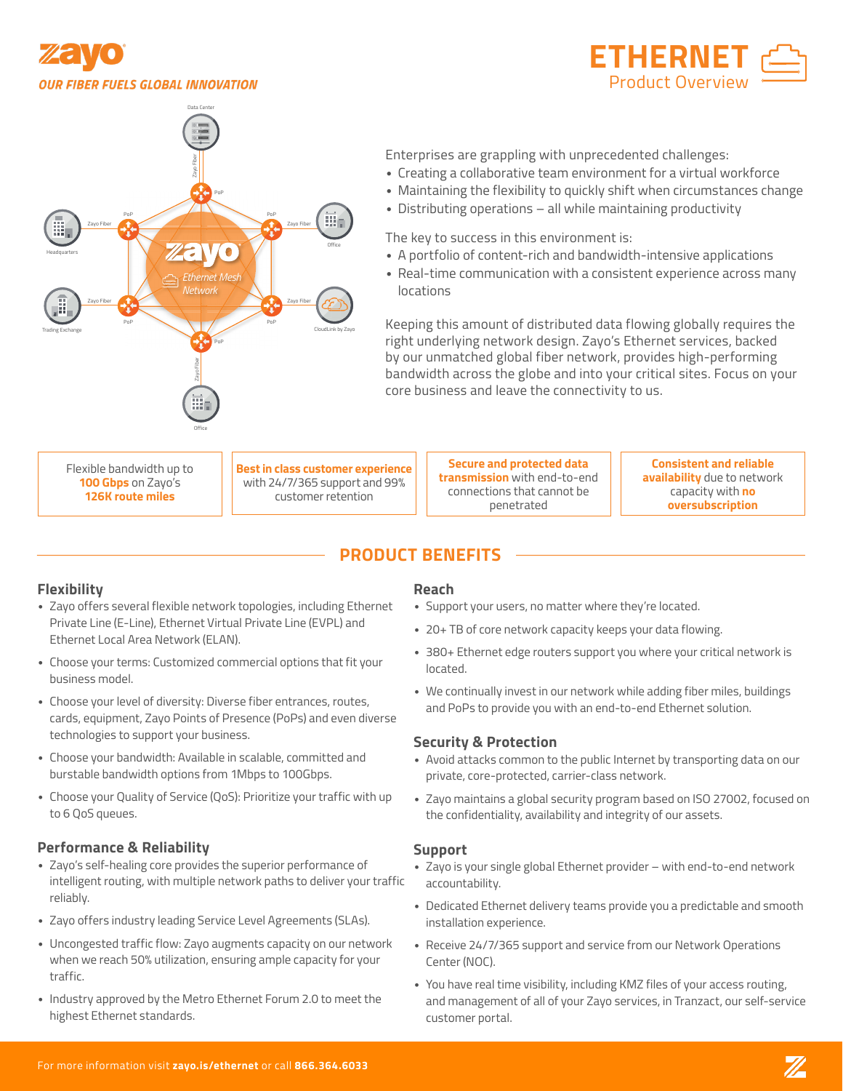





Enterprises are grappling with unprecedented challenges:

- Creating a collaborative team environment for a virtual workforce
- Maintaining the flexibility to quickly shift when circumstances change
- Distributing operations all while maintaining productivity

The key to success in this environment is:

- A portfolio of content-rich and bandwidth-intensive applications
- Real-time communication with a consistent experience across many locations

Keeping this amount of distributed data flowing globally requires the right underlying network design. Zayo's Ethernet services, backed by our unmatched global fiber network, provides high-performing bandwidth across the globe and into your critical sites. Focus on your core business and leave the connectivity to us.

Flexible bandwidth up to **100 Gbps** on Zayo's **126K route miles**

**Best in class customer experience**  with 24/7/365 support and 99% customer retention

**Secure and protected data transmission** with end-to-end connections that cannot be penetrated

**Consistent and reliable availability** due to network capacity with **no oversubscription**

# **PRODUCT BENEFITS**

## **Flexibility**

- Zayo offers several flexible network topologies, including Ethernet Private Line (E-Line), Ethernet Virtual Private Line (EVPL) and Ethernet Local Area Network (ELAN).
- Choose your terms: Customized commercial options that fit your business model.
- Choose your level of diversity: Diverse fiber entrances, routes, cards, equipment, Zayo Points of Presence (PoPs) and even diverse technologies to support your business.
- Choose your bandwidth: Available in scalable, committed and burstable bandwidth options from 1Mbps to 100Gbps.
- Choose your Quality of Service (QoS): Prioritize your traffic with up to 6 QoS queues.

## **Performance & Reliability**

- Zayo's self-healing core provides the superior performance of intelligent routing, with multiple network paths to deliver your traffic reliably.
- Zayo offers industry leading Service Level Agreements (SLAs).
- Uncongested traffic flow: Zayo augments capacity on our network when we reach 50% utilization, ensuring ample capacity for your traffic.
- Industry approved by the Metro Ethernet Forum 2.0 to meet the highest Ethernet standards.

### **Reach**

- Support your users, no matter where they're located.
- 20+ TB of core network capacity keeps your data flowing.
- 380+ Ethernet edge routers support you where your critical network is located.
- We continually invest in our network while adding fiber miles, buildings and PoPs to provide you with an end-to-end Ethernet solution.

## **Security & Protection**

- Avoid attacks common to the public Internet by transporting data on our private, core-protected, carrier-class network.
- Zayo maintains a global security program based on ISO 27002, focused on the confidentiality, availability and integrity of our assets.

#### **Support**

- Zayo is your single global Ethernet provider with end-to-end network accountability.
- Dedicated Ethernet delivery teams provide you a predictable and smooth installation experience.
- Receive 24/7/365 support and service from our Network Operations Center (NOC).
- You have real time visibility, including KMZ files of your access routing, and management of all of your Zayo services, in Tranzact, our self-service customer portal.